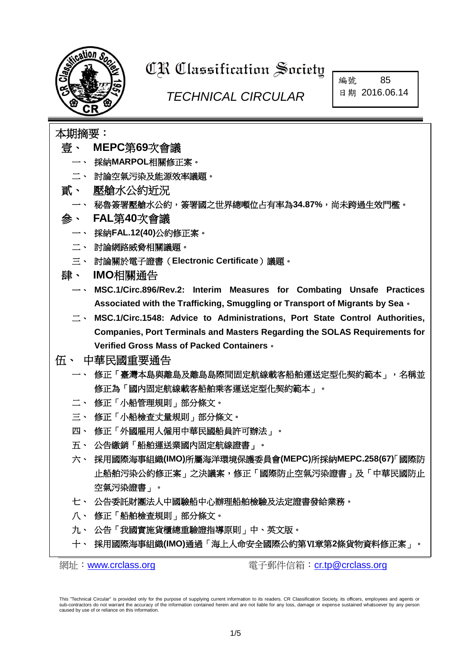

# **CR Classification Society**

## *TECHNICAL CIRCULAR*

編號 85 日期 2016.06.14

## 本期摘要:

- 壹、 **MEPC**第**69**[次會議](#page-1-0)
	- 一、 採納**MARPOL**相關修正案。
	- 二、 討論空氣污染及能源效率議題。
- 貳、 [壓艙水公約近況](#page-1-1)
- 一、 秘魯簽署壓艙水公約,簽署國之世界總噸位占有率為**34.87%**,尚未跨過生效門檻。
- 參、 **FAL**第**40**[次會議](#page-2-0)
	- 一、 採納**FAL.12(40)**公約修正案。
	- 二、 討論網路威脅相關議題。
	- 三、 討論關於電子證書(**Electronic Certificate**)議題。
- 肆、 **IMO**[相關通告](#page-2-1)
	- 一、 **MSC.1/Circ.896/Rev.2: Interim Measures for Combating Unsafe Practices Associated with the Trafficking, Smuggling or Transport of Migrants by Sea**。
	- 二、 **MSC.1/Circ.1548: Advice to Administrations, Port State Control Authorities, Companies, Port Terminals and Masters Regarding the SOLAS Requirements for Verified Gross Mass of Packed Containers**。

#### 伍、 [中華民國重要通告](#page-3-0)

- 一、 修[正「臺灣本島與離島及離島島際間固定航線載客船舶運送定型化契約範本」,名稱並](http://odmdoc.motc.gov.tw/IFDEWebBBS_MOTC/ExternalBBS.aspx?ThirdDocId=105RD02112) [修正為「國內固定航線載客船舶乘客運送定型化契約範本」。](http://odmdoc.motc.gov.tw/IFDEWebBBS_MOTC/ExternalBBS.aspx?ThirdDocId=105RD02112)
- 二、 修正[「小船管理規則」](http://odmdoc.motc.gov.tw/IFDEWebBBS_MOTC/ExternalBBS.aspx?ThirdDocId=105RD02142)部分條文。
- 三、 修正[「小船檢查丈量規則」](http://odmdoc.motc.gov.tw/IFDEWebBBS_MOTC/ExternalBBS.aspx?ThirdDocId=105RD02143)部分條文。
- 四、 修正[「外國雇用人僱用中華民國船員許可辦法」](http://odmdoc.motc.gov.tw/IFDEWebBBS_MOTC/ExternalBBS.aspx?ThirdDocId=105RD02330)。
- 五、 公告繳銷[「船舶運送業國內固定航線證書」](http://www.motcmpb.gov.tw/MOTCMPBWeb/wSite/ct?xItem=18139&ctNode=246&mp=1)。
- 六、 採用國際海事組織**(IMO)**[所屬海洋環境保護委員會](http://odmdoc.motc.gov.tw/IFDEWebBBS_MOTC/ExternalBBS.aspx?ThirdDocId=105RD02425)**(MEPC)**所採納**MEPC.258(67)**「國際防 [止船舶污染公約修正案」之決議案,修正「國際防止空氣污染證書」及「中華民國防止](http://odmdoc.motc.gov.tw/IFDEWebBBS_MOTC/ExternalBBS.aspx?ThirdDocId=105RD02425) [空氣污染證書」。](http://odmdoc.motc.gov.tw/IFDEWebBBS_MOTC/ExternalBBS.aspx?ThirdDocId=105RD02425)
- 七、 公[告委託財團法人中國驗船中心辦理船舶檢驗及法定證書發給業務。](http://odmdoc.motc.gov.tw/IFDEWebBBS_MOTC/ExternalBBS.aspx?ThirdDocId=105RD02479)
- 八、 修正[「船舶檢查規則」](http://odmdoc.motc.gov.tw/IFDEWebBBS_MOTC/ExternalBBS.aspx?ThirdDocId=105RD02482)部分條文。
- 九、 公告「我國實施貨櫃總重驗證指導原則」中、英文版。
- 十、 採用國際海事組織**(IMO)**通過「海上人命安全國際公約第Ⅵ章第**2**條貨物資料修正案」。

網址: [www.crclass.org](http://www.crclass.org/) <br>電子郵件信箱: [cr.tp@crclass.org](mailto:cr.tp@crclass.org)

This "Technical Circular" is provided only for the purpose of supplying current information to its readers. CR Classification Society, its officers, employees and agents or sub-contractors do not warrant the accuracy of the information contained herein and are not liable for any loss, damage or expense sustained whatsoever by any person caused by use of or reliance on this information.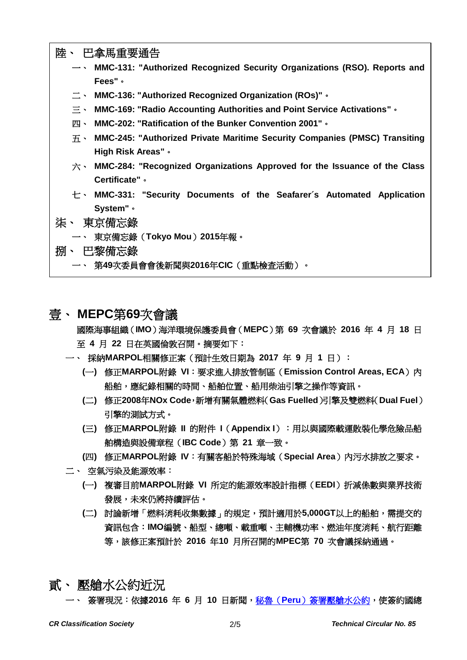| 陸、 巴拿馬重要通告                                                                                               |
|----------------------------------------------------------------------------------------------------------|
| $\rightarrow$ MMC-131: "Authorized Recognized Security Organizations (RSO). Reports and                  |
| Fees" .                                                                                                  |
| $\equiv$ $\cdot$ MMC-136: "Authorized Recognized Organization (ROs)" $\cdot$                             |
| MMC-169: "Radio Accounting Authorities and Point Service Activations" .<br>$\equiv$ $\sim$               |
| MMC-202: "Ratification of the Bunker Convention 2001" .<br>四、                                            |
| $\overline{\text{H}}$ $\cdot$ MMC-245: "Authorized Private Maritime Security Companies (PMSC) Transiting |
| High Risk Areas" .                                                                                       |
| $\dot{\pi}$ $\cdot$ MMC-284: "Recognized Organizations Approved for the Issuance of the Class            |
| <b>Certificate"</b> •                                                                                    |
| $\pm$ MMC-331: "Security Documents of the Seafarer's Automated Application                               |
| System" .                                                                                                |
| 柒、 東京備忘錄                                                                                                 |
| 一、 東京備忘錄 (Tokyo Mou) 2015年報。                                                                             |
| 捌、 巴黎備忘錄                                                                                                 |
| 一、 第49次委員會會後新聞與2016年CIC(重點檢查活動)                                                                          |

## <span id="page-1-0"></span>壹、 **MEPC**第**69**次會議

國際海事組織(**IMO**)海洋環境保護委員會(**MEPC**)第 **69** 次會議於 **2016** 年 **4** 月 **18** 日 至 **4** 月 **22** 日在英國倫敦召開。摘要如下:

- 一、 採納**MARPOL**相關修正案(預計生效日期為 **2017** 年 **9** 月 **1** 日):
	- **(**一**)** 修正**MARPOL**附錄 **VI**:要求進入排放管制區(**Emission Control Areas, ECA**)內 船舶,應紀錄相關的時間、船舶位置、船用柴油引擎之操作等資訊。
	- **(**二**)** 修正**2008**年**NOx Code**,新增有關氣體燃料(**Gas Fuelled**)引擎及雙燃料(**Dual Fuel**) 引擎的測試方式。
	- **(**三**)** 修正**MARPOL**附錄 **II** 的附件 **I**(**Appendix I**):用以與國際載運散裝化學危險品船 舶構造與設備章程(**IBC Code**)第 **21** 章一致。
	- **(**四**)** 修正**MARPOL**附錄 **IV**:有關客船於特殊海域(**Special Area**)內污水排放之要求。
- 二、 空氣污染及能源效率:
	- **(**一**)** 複審目前**MARPOL**附錄 **VI** 所定的能源效率設計指標(**EEDI**)折減係數與業界技術 發展,未來仍將持續評估。
	- **(**二**)** 討論新增「燃料消耗收集數據」的規定,預計適用於**5,000GT**以上的船舶,需提交的 資訊包含:**IMO**編號、船型、總噸、載重噸、主輔機功率、燃油年度消耗、航行距離 等,該修正案預計於 **2016** 年**10** 月所召開的**MPEC**第 **70** 次會議採納通過。
- <span id="page-1-1"></span>貳、 壓艙水公約近況

一、 簽署現況:依據**2016** 年 **6** 月 **10** 日新聞,秘魯(**Peru**[\)簽署壓艙水公約,](http://www.crclass.org/chinese/download/ti-tc/85/2-1%20Home.pdf)使簽約國總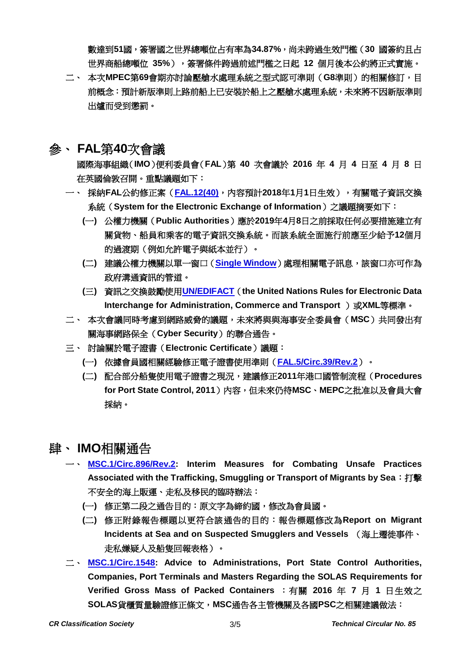數達到**51**國,簽署國之世界總噸位占有率為**34.87%**,尚未跨過生效門檻(**30** 國簽約且占 世界商船總噸位 **35%**),簽署條件跨過前述門檻之日起 **12** 個月後本公約將正式實施。

二、 本次**MPEC**第**69**會期亦討論壓艙水處理系統之型式認可準則(**G8**準則)的相關修訂,目 前概念:預計新版準則上路前船上已安裝於船上之壓艙水處理系統,未來將不因新版準則 出爐而受到懲罰。

### <span id="page-2-0"></span>參、 **FAL**第**40**次會議

國際海事組織(**IMO**)便利委員會(**FAL**)第 **40** 次會議於 **2016** 年 **4** 月 **4** 日至 **4** 月 **8** 日 在英國倫敦召開。重點議題如下:

- 一、 採納**FAL**公約修正案(**[FAL.12\(40\)](http://www.crclass.org/chinese/download/ti-tc/85/3-1%20FAL.12(40).pdf)**,內容預計**2018**年**1**月**1**日生效),有關電子資訊交換 系統(**System for the Electronic Exchange of Information**)之議題摘要如下:
	- **(**一**)** 公權力機關(**Public Authorities**)應於**2019**年**4**月**8**日之前採取任何必要措施建立有 關貨物、船員和乘客的電子資訊交換系統。而該系統全面施行前應至少給予**12**個月 的過渡期(例如允許電子與紙本並行)。
	- **(**二**)** 建議公權力機關以單一窗口(**[Single Window](http://www.crclass.org/chinese/download/ti-tc/85/3-2%20FAL.5-Circ.36%20-%20Guidelines%20For%20Setting%20Up%20A%20Single%20Window%20System%20In%20Maritime%20Transport%20(Secretariat).pdf)**)處理相關電子訊息,該窗口亦可作為 政府溝通資訊的管道。
	- **(**三**)** 資訊之交換鼓勵使用**[UN/EDIFACT](http://www.unece.org/cefact/edifact/welcome.html)**(**the United Nations Rules for Electronic Data Interchange for Administration, Commerce and Transport** )或XML等標準。
- 二、 本次會議同時考慮到網路威脅的議題,未來將與與海事安全委員會(**MSC**)共同發出有 關海事網路保全(**Cyber Security**)的聯合通告。
- 三、 討論關於電子證書(**Electronic Certificate**)議題:
	- **(**一**)** 依據會員國相關經驗修正電子證書使用準則(**[FAL.5/Circ.39/Rev.2](http://www.crclass.org/chinese/download/ti-tc/85/3-3%20FAL.5-Circ.39-Rev.2%20-%20Guidelines%20For%20The%20Use%20Of%20Electronic%20Certificates%20(Secretariat).pdf)**)。
	- **(**二**)** 配合部分船隻使用電子證書之現況,建議修正**2011**年港口國管制流程(**Procedures for Port State Control, 2011**)內容,但未來仍待**MSC**、**MEPC**之批准以及會員大會 採納。

## <span id="page-2-1"></span>肆、 **IMO**相關通告

- 一、 **[MSC.1/Circ.896/Rev.2:](http://www.crclass.org/chinese/download/ti-tc/85/4-1%20MSC.1-Circ.896-Rev.2%20-%20Interim%20Measures%20For%20Combating%20Unsafe%20Practices%20Associated%20With%20The%20Trafficking,%20Smuggling...%20(Secretariat).pdf) Interim Measures for Combating Unsafe Practices Associated with the Trafficking, Smuggling or Transport of Migrants by Sea**:打擊 不安全的海上販運、走私及移民的臨時辦法:
	- **(**一**)** 修正第二段之通告目的:原文字為締約國,修改為會員國。
	- **(**二**)** 修正附錄報告標題以更符合該通告的目的:報告標題修改為**Report on Migrant Incidents at Sea and on Suspected Smugglers and Vessels** (海上遷徙事件、 走私嫌疑人及船隻回報表格)。
- 二、 **[MSC.1/Circ.1548:](http://www.crclass.org/chinese/download/ti-tc/85/4-2MSC.1-Circ.1548%20-%20Advice%20To%20Administrations,%20Port%20State%20Control%20Authorities,%20Companies,%20Port%20Terminals%20And%20M...%20(Secretariat)%20(2)%20(1).pdf) Advice to Administrations, Port State Control Authorities, Companies, Port Terminals and Masters Regarding the SOLAS Requirements for Verified Gross Mass of Packed Containers** :有關 **2016** 年 **7** 月 **1** 日生效之 **SOLAS**貨櫃質量驗證修正條文,**MSC**通告各主管機關及各國**PSC**之相關建議做法: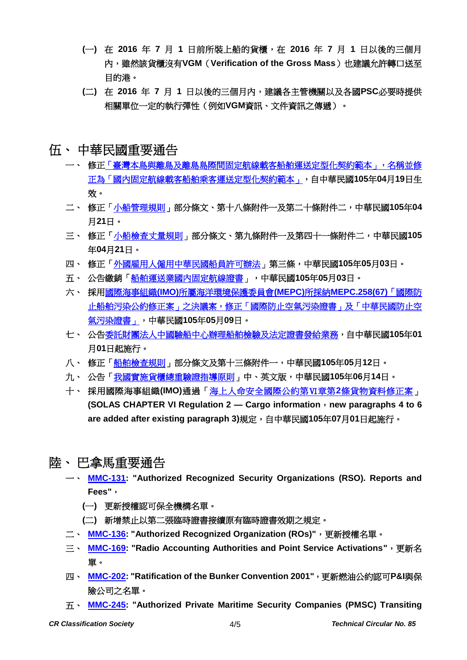- **(**一**)** 在 **2016** 年 **7** 月 **1** 日前所裝上船的貨櫃,在 **2016** 年 **7** 月 **1** 日以後的三個月 內,雖然該貨櫃沒有**VGM**(**Verification of the Gross Mass**)也建議允許轉口送至 目的港。
- **(**二**)** 在 **2016** 年 **7** 月 **1** 日以後的三個月內,建議各主管機關以及各國**PSC**必要時提供 相關單位一定的執行彈性(例如**VGM**資訊、文件資訊之傳遞)。
- <span id="page-3-0"></span>伍、 中華民國重要通告
	- 一、 修[正「臺灣本島與離島及離島島際間固定航線載客船舶運送定型化契約範本」,名稱並修](http://odmdoc.motc.gov.tw/IFDEWebBBS_MOTC/ExternalBBS.aspx?ThirdDocId=105RD02112) [正為「國內固定航線載客船舶乘客運送定型化契約範本」,](http://odmdoc.motc.gov.tw/IFDEWebBBS_MOTC/ExternalBBS.aspx?ThirdDocId=105RD02112)自中華民國**105**年**04**月**19**日生 效。
	- 二、 修正[「小船管理規則」](http://odmdoc.motc.gov.tw/IFDEWebBBS_MOTC/ExternalBBS.aspx?ThirdDocId=105RD02142)部分條文、第十八條附件一及第二十條附件二,中華民國**105**年**04** 月**21**日。
	- 三、 修正[「小船檢查丈量規則」](http://odmdoc.motc.gov.tw/IFDEWebBBS_MOTC/ExternalBBS.aspx?ThirdDocId=105RD02143)部分條文、第九條附件一及第四十一條附件二,中華民國**105** 年**04**月**21**日。
	- 四、 修正[「外國雇用人僱用中華民國船員許可辦法」](http://odmdoc.motc.gov.tw/IFDEWebBBS_MOTC/ExternalBBS.aspx?ThirdDocId=105RD02330)第三條,中華民國**105**年**05**月**03**日。
	- 五、 公告繳銷[「船舶運送業國內固定航線證書」](http://www.motcmpb.gov.tw/MOTCMPBWeb/wSite/ct?xItem=18139&ctNode=246&mp=1),中華民國**105**年**05**月**03**日。
	- 六、 採用國際海事組織**(IMO)**[所屬海洋環境保護委員會](http://odmdoc.motc.gov.tw/IFDEWebBBS_MOTC/ExternalBBS.aspx?ThirdDocId=105RD02425)**(MEPC)**所採納**MEPC.258(67)**「國際防 [止船舶污染公約修正案」之決議案,修正「國際防止空氣污染證書」及「中華民國防止空](http://odmdoc.motc.gov.tw/IFDEWebBBS_MOTC/ExternalBBS.aspx?ThirdDocId=105RD02425) [氣污染證書」,](http://odmdoc.motc.gov.tw/IFDEWebBBS_MOTC/ExternalBBS.aspx?ThirdDocId=105RD02425)中華民國**105**年**05**月**09**日。
	- 七、 公[告委託財團法人中國驗船中心辦理船舶檢驗及法定證書發給業務,](http://odmdoc.motc.gov.tw/IFDEWebBBS_MOTC/ExternalBBS.aspx?ThirdDocId=105RD02479)自中華民國**105**年**01** 月**01**日起施行。
	- 八、 修正[「船舶檢查規則」](http://odmdoc.motc.gov.tw/IFDEWebBBS_MOTC/ExternalBBS.aspx?ThirdDocId=105RD02482)部分條文及第十三條附件一,中華民國**105**年**05**月**12**日。
	- 九、 公告[「我國實施貨櫃總重驗證指導原則」](http://www.motcmpb.gov.tw/MOTCMPBWeb/wSite/ct?xItem=18547&ctNode=246&mp=1)中、英文版,中華民國**105**年**06**月**14**日。
	- 十、 採用國際海事組織**(IMO)**通過[「海上人命安全國際公約第Ⅵ章第](http://odmdoc.motc.gov.tw/IFDEWebBBS_MOTC/ExternalBBS.aspx?ThirdDocId=105RD02832)**2**條貨物資料修正案」 **(SOLAS CHAPTER VI Regulation 2 — Cargo information**,**new paragraphs 4 to 6 are added after existing paragraph 3)**規定,自中華民國**105**年**07**月**01**日起施行。
- <span id="page-3-1"></span>陸、 巴拿馬重要通告
	- 一、 **[MMC-131:](http://www.crclass.org/chinese/download/ti-tc/85/6-1%20MMC-131.pdf) "Authorized Recognized Security Organizations (RSO). Reports and Fees"**,
		- **(**一**)** 更新授權認可保全機構名單。
		- **(**二**)** 新增禁止以第二張臨時證書接續原有臨時證書效期之規定。
	- 二、 **[MMC-136:](http://www.crclass.org/chinese/download/ti-tc/85/6-2%20MMC-136-abril-2016.pdf) "Authorized Recognized Organization (ROs)"**,更新授權名單。
	- 三、 **[MMC-169:](http://www.crclass.org/chinese/download/ti-tc/85/6-3%20MMC-169-abril.pdf) "Radio Accounting Authorities and Point Service Activations"**,更新名 單。
	- 四、 **[MMC-202:](http://www.crclass.org/chinese/download/ti-tc/85/6-4%20%20MMC-202-RATIFICATION-OF-THE-BUNKER-CONVENTION-2001-2016-5.pdf) "Ratification of the Bunker Convention 2001"**,更新燃油公約認可**P&I**與保 險公司之名單。
	- 五、 **[MMC-245:](http://www.crclass.org/chinese/download/ti-tc/85/6-5%20MMC-245-6-junio-de-2016.pdf) "Authorized Private Maritime Security Companies (PMSC) Transiting**